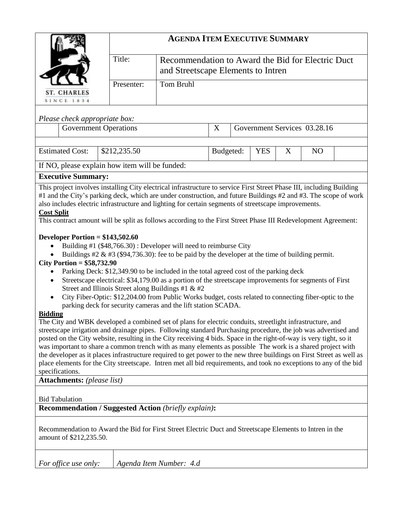|                                                                                                                                                                                                                                                                                                                                                                                                                                                                                                                                                                                                                                                                                                                                                                                                                                                                                                                                                                                                                                                                                                                                                                                                                                                                                                                                                                                                                                                                                                                                                                                                                                                                                                |              | <b>AGENDA ITEM EXECUTIVE SUMMARY</b>                                                    |           |                                   |  |                              |  |  |  |  |  |  |
|------------------------------------------------------------------------------------------------------------------------------------------------------------------------------------------------------------------------------------------------------------------------------------------------------------------------------------------------------------------------------------------------------------------------------------------------------------------------------------------------------------------------------------------------------------------------------------------------------------------------------------------------------------------------------------------------------------------------------------------------------------------------------------------------------------------------------------------------------------------------------------------------------------------------------------------------------------------------------------------------------------------------------------------------------------------------------------------------------------------------------------------------------------------------------------------------------------------------------------------------------------------------------------------------------------------------------------------------------------------------------------------------------------------------------------------------------------------------------------------------------------------------------------------------------------------------------------------------------------------------------------------------------------------------------------------------|--------------|-----------------------------------------------------------------------------------------|-----------|-----------------------------------|--|------------------------------|--|--|--|--|--|--|
|                                                                                                                                                                                                                                                                                                                                                                                                                                                                                                                                                                                                                                                                                                                                                                                                                                                                                                                                                                                                                                                                                                                                                                                                                                                                                                                                                                                                                                                                                                                                                                                                                                                                                                |              | Recommendation to Award the Bid for Electric Duct<br>and Streetscape Elements to Intren |           |                                   |  |                              |  |  |  |  |  |  |
| ST. CHARLES                                                                                                                                                                                                                                                                                                                                                                                                                                                                                                                                                                                                                                                                                                                                                                                                                                                                                                                                                                                                                                                                                                                                                                                                                                                                                                                                                                                                                                                                                                                                                                                                                                                                                    | Presenter:   | <b>Tom Bruhl</b>                                                                        |           |                                   |  |                              |  |  |  |  |  |  |
| <b>SINCE 1834</b>                                                                                                                                                                                                                                                                                                                                                                                                                                                                                                                                                                                                                                                                                                                                                                                                                                                                                                                                                                                                                                                                                                                                                                                                                                                                                                                                                                                                                                                                                                                                                                                                                                                                              |              |                                                                                         |           |                                   |  |                              |  |  |  |  |  |  |
| Please check appropriate box:                                                                                                                                                                                                                                                                                                                                                                                                                                                                                                                                                                                                                                                                                                                                                                                                                                                                                                                                                                                                                                                                                                                                                                                                                                                                                                                                                                                                                                                                                                                                                                                                                                                                  |              |                                                                                         |           |                                   |  |                              |  |  |  |  |  |  |
| <b>Government Operations</b>                                                                                                                                                                                                                                                                                                                                                                                                                                                                                                                                                                                                                                                                                                                                                                                                                                                                                                                                                                                                                                                                                                                                                                                                                                                                                                                                                                                                                                                                                                                                                                                                                                                                   |              | X                                                                                       |           |                                   |  | Government Services 03.28.16 |  |  |  |  |  |  |
| <b>Estimated Cost:</b>                                                                                                                                                                                                                                                                                                                                                                                                                                                                                                                                                                                                                                                                                                                                                                                                                                                                                                                                                                                                                                                                                                                                                                                                                                                                                                                                                                                                                                                                                                                                                                                                                                                                         | \$212,235.50 |                                                                                         | Budgeted: | <b>YES</b><br>X<br>N <sub>O</sub> |  |                              |  |  |  |  |  |  |
| If NO, please explain how item will be funded:                                                                                                                                                                                                                                                                                                                                                                                                                                                                                                                                                                                                                                                                                                                                                                                                                                                                                                                                                                                                                                                                                                                                                                                                                                                                                                                                                                                                                                                                                                                                                                                                                                                 |              |                                                                                         |           |                                   |  |                              |  |  |  |  |  |  |
| <b>Executive Summary:</b>                                                                                                                                                                                                                                                                                                                                                                                                                                                                                                                                                                                                                                                                                                                                                                                                                                                                                                                                                                                                                                                                                                                                                                                                                                                                                                                                                                                                                                                                                                                                                                                                                                                                      |              |                                                                                         |           |                                   |  |                              |  |  |  |  |  |  |
| This project involves installing City electrical infrastructure to service First Street Phase III, including Building<br>#1 and the City's parking deck, which are under construction, and future Buildings #2 and #3. The scope of work<br>also includes electric infrastructure and lighting for certain segments of streetscape improvements.<br><b>Cost Split</b><br>This contract amount will be split as follows according to the First Street Phase III Redevelopment Agreement:                                                                                                                                                                                                                                                                                                                                                                                                                                                                                                                                                                                                                                                                                                                                                                                                                                                                                                                                                                                                                                                                                                                                                                                                        |              |                                                                                         |           |                                   |  |                              |  |  |  |  |  |  |
| Developer Portion = $$143,502.60$<br>Building #1 (\$48,766.30): Developer will need to reimburse City<br>Buildings #2 & #3 (\$94,736.30): fee to be paid by the developer at the time of building permit.<br>City Portion = $$58,732.90$<br>Parking Deck: \$12,349.90 to be included in the total agreed cost of the parking deck<br>Streetscape electrical: \$34,179.00 as a portion of the streetscape improvements for segments of First<br>٠<br>Street and Illinois Street along Buildings #1 & #2<br>City Fiber-Optic: \$12,204.00 from Public Works budget, costs related to connecting fiber-optic to the<br>$\bullet$<br>parking deck for security cameras and the lift station SCADA.<br><b>Bidding</b><br>The City and WBK developed a combined set of plans for electric conduits, streetlight infrastructure, and<br>streetscape irrigation and drainage pipes. Following standard Purchasing procedure, the job was advertised and<br>posted on the City website, resulting in the City receiving 4 bids. Space in the right-of-way is very tight, so it<br>was important to share a common trench with as many elements as possible The work is a shared project with<br>the developer as it places infrastructure required to get power to the new three buildings on First Street as well as<br>place elements for the City streetscape. Intren met all bid requirements, and took no exceptions to any of the bid<br>specifications.<br><b>Attachments:</b> (please list)<br><b>Bid Tabulation</b><br><b>Recommendation / Suggested Action (briefly explain):</b><br>Recommendation to Award the Bid for First Street Electric Duct and Streetscape Elements to Intren in the |              |                                                                                         |           |                                   |  |                              |  |  |  |  |  |  |
| amount of \$212,235.50.                                                                                                                                                                                                                                                                                                                                                                                                                                                                                                                                                                                                                                                                                                                                                                                                                                                                                                                                                                                                                                                                                                                                                                                                                                                                                                                                                                                                                                                                                                                                                                                                                                                                        |              |                                                                                         |           |                                   |  |                              |  |  |  |  |  |  |
| For office use only:                                                                                                                                                                                                                                                                                                                                                                                                                                                                                                                                                                                                                                                                                                                                                                                                                                                                                                                                                                                                                                                                                                                                                                                                                                                                                                                                                                                                                                                                                                                                                                                                                                                                           |              | Agenda Item Number: 4.d                                                                 |           |                                   |  |                              |  |  |  |  |  |  |